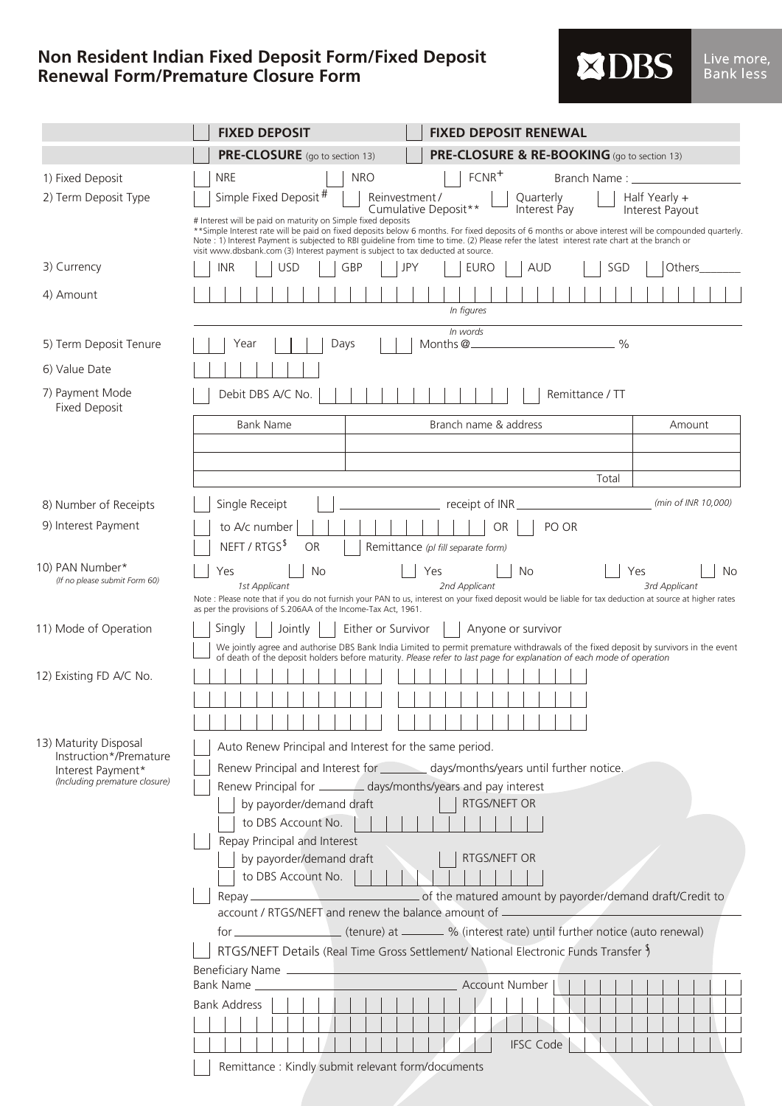## **Non Resident Indian Fixed Deposit Form/Fixed Deposit Renewal Form/Premature Closure Form**

|  | <b>XDBS</b> |  |
|--|-------------|--|
|  |             |  |

|           | <u>Live more,</u> |
|-----------|-------------------|
| Bank less |                   |

|                                                    | <b>FIXED DEPOSIT</b>                                                                                                                                                                                                                                         | <b>FIXED DEPOSIT RENEWAL</b>                                                                                                                                                                                                                                                                          |                                  |  |  |  |
|----------------------------------------------------|--------------------------------------------------------------------------------------------------------------------------------------------------------------------------------------------------------------------------------------------------------------|-------------------------------------------------------------------------------------------------------------------------------------------------------------------------------------------------------------------------------------------------------------------------------------------------------|----------------------------------|--|--|--|
|                                                    | PRE-CLOSURE (go to section 13)                                                                                                                                                                                                                               | PRE-CLOSURE & RE-BOOKING (go to section 13)                                                                                                                                                                                                                                                           |                                  |  |  |  |
| 1) Fixed Deposit                                   | <b>NRE</b>                                                                                                                                                                                                                                                   | $FCNR^+$<br><b>NRO</b><br>Branch Name: ______                                                                                                                                                                                                                                                         |                                  |  |  |  |
| 2) Term Deposit Type                               | Simple Fixed Deposit <sup>#</sup>                                                                                                                                                                                                                            | Reinvestment /<br>Quarterly<br>Cumulative Deposit**<br>Interest Pay                                                                                                                                                                                                                                   | Half Yearly +<br>Interest Payout |  |  |  |
|                                                    | # Interest will be paid on maturity on Simple fixed deposits<br>visit www.dbsbank.com (3) Interest payment is subject to tax deducted at source.                                                                                                             | ** Simple Interest rate will be paid on fixed deposits below 6 months. For fixed deposits of 6 months or above interest will be compounded quarterly.<br>Note : 1) Interest Payment is subjected to RBI quideline from time to time. (2) Please refer the latest interest rate chart at the branch or |                                  |  |  |  |
| 3) Currency                                        | INR<br>USD                                                                                                                                                                                                                                                   | GBP<br><b>JPY</b><br>EURO<br><b>AUD</b><br>SGD                                                                                                                                                                                                                                                        | Others                           |  |  |  |
| 4) Amount                                          | In figures                                                                                                                                                                                                                                                   |                                                                                                                                                                                                                                                                                                       |                                  |  |  |  |
| 5) Term Deposit Tenure                             | Days<br>Year                                                                                                                                                                                                                                                 | In words<br>Months @                                                                                                                                                                                                                                                                                  | $\frac{0}{0}$                    |  |  |  |
| 6) Value Date                                      |                                                                                                                                                                                                                                                              |                                                                                                                                                                                                                                                                                                       |                                  |  |  |  |
| 7) Payment Mode<br><b>Fixed Deposit</b>            | Debit DBS A/C No.<br>Remittance / TT                                                                                                                                                                                                                         |                                                                                                                                                                                                                                                                                                       |                                  |  |  |  |
|                                                    | <b>Bank Name</b>                                                                                                                                                                                                                                             | Branch name & address                                                                                                                                                                                                                                                                                 | Amount                           |  |  |  |
|                                                    |                                                                                                                                                                                                                                                              |                                                                                                                                                                                                                                                                                                       |                                  |  |  |  |
|                                                    |                                                                                                                                                                                                                                                              | Total                                                                                                                                                                                                                                                                                                 |                                  |  |  |  |
| 8) Number of Receipts                              | Single Receipt                                                                                                                                                                                                                                               | receipt of INR                                                                                                                                                                                                                                                                                        | (min of INR 10,000)              |  |  |  |
| 9) Interest Payment                                | to A/c number                                                                                                                                                                                                                                                | PO OR<br><b>OR</b>                                                                                                                                                                                                                                                                                    |                                  |  |  |  |
|                                                    | NEFT / RTGS <sup>\$</sup><br><b>OR</b>                                                                                                                                                                                                                       | Remittance (pl fill separate form)                                                                                                                                                                                                                                                                    |                                  |  |  |  |
| 10) PAN Number*<br>(If no please submit Form 60)   | No<br>Yes<br>1st Applicant                                                                                                                                                                                                                                   | Yes<br>No<br>2nd Applicant                                                                                                                                                                                                                                                                            | Yes<br>No<br>3rd Applicant       |  |  |  |
|                                                    | Note : Please note that if you do not furnish your PAN to us, interest on your fixed deposit would be liable for tax deduction at source at higher rates<br>as per the provisions of S.206AA of the Income-Tax Act, 1961.                                    |                                                                                                                                                                                                                                                                                                       |                                  |  |  |  |
| 11) Mode of Operation                              | Singly<br>Jointly                                                                                                                                                                                                                                            | Either or Survivor<br>Anyone or survivor                                                                                                                                                                                                                                                              |                                  |  |  |  |
|                                                    | We jointly agree and authorise DBS Bank India Limited to permit premature withdrawals of the fixed deposit by survivors in the event<br>of death of the deposit holders before maturity. Please refer to last page for explanation of each mode of operation |                                                                                                                                                                                                                                                                                                       |                                  |  |  |  |
| 12) Existing FD A/C No.                            |                                                                                                                                                                                                                                                              |                                                                                                                                                                                                                                                                                                       |                                  |  |  |  |
|                                                    |                                                                                                                                                                                                                                                              |                                                                                                                                                                                                                                                                                                       |                                  |  |  |  |
|                                                    |                                                                                                                                                                                                                                                              |                                                                                                                                                                                                                                                                                                       |                                  |  |  |  |
| 13) Maturity Disposal<br>Instruction*/Premature    |                                                                                                                                                                                                                                                              | Auto Renew Principal and Interest for the same period.                                                                                                                                                                                                                                                |                                  |  |  |  |
| Interest Payment*<br>(Including premature closure) |                                                                                                                                                                                                                                                              | Renew Principal and Interest for __________ days/months/years until further notice.                                                                                                                                                                                                                   |                                  |  |  |  |
|                                                    | by payorder/demand draft                                                                                                                                                                                                                                     | Renew Principal for _______ days/months/years and pay interest<br>RTGS/NEFT OR                                                                                                                                                                                                                        |                                  |  |  |  |
|                                                    | to DBS Account No.                                                                                                                                                                                                                                           |                                                                                                                                                                                                                                                                                                       |                                  |  |  |  |
|                                                    | Repay Principal and Interest                                                                                                                                                                                                                                 |                                                                                                                                                                                                                                                                                                       |                                  |  |  |  |
|                                                    | by payorder/demand draft                                                                                                                                                                                                                                     | <b>RTGS/NEFT OR</b>                                                                                                                                                                                                                                                                                   |                                  |  |  |  |
|                                                    | to DBS Account No.                                                                                                                                                                                                                                           |                                                                                                                                                                                                                                                                                                       |                                  |  |  |  |
|                                                    | account / RTGS/NEFT and renew the balance amount of ____________________________                                                                                                                                                                             |                                                                                                                                                                                                                                                                                                       |                                  |  |  |  |
|                                                    |                                                                                                                                                                                                                                                              |                                                                                                                                                                                                                                                                                                       |                                  |  |  |  |
|                                                    | RTGS/NEFT Details (Real Time Gross Settlement/ National Electronic Funds Transfer )                                                                                                                                                                          |                                                                                                                                                                                                                                                                                                       |                                  |  |  |  |
|                                                    |                                                                                                                                                                                                                                                              |                                                                                                                                                                                                                                                                                                       |                                  |  |  |  |
|                                                    |                                                                                                                                                                                                                                                              | <b>Account Number</b>                                                                                                                                                                                                                                                                                 |                                  |  |  |  |
|                                                    | Bank Address                                                                                                                                                                                                                                                 |                                                                                                                                                                                                                                                                                                       |                                  |  |  |  |
|                                                    |                                                                                                                                                                                                                                                              |                                                                                                                                                                                                                                                                                                       |                                  |  |  |  |
|                                                    |                                                                                                                                                                                                                                                              | <b>IFSC Code</b>                                                                                                                                                                                                                                                                                      |                                  |  |  |  |
|                                                    |                                                                                                                                                                                                                                                              | Remittance: Kindly submit relevant form/documents                                                                                                                                                                                                                                                     |                                  |  |  |  |